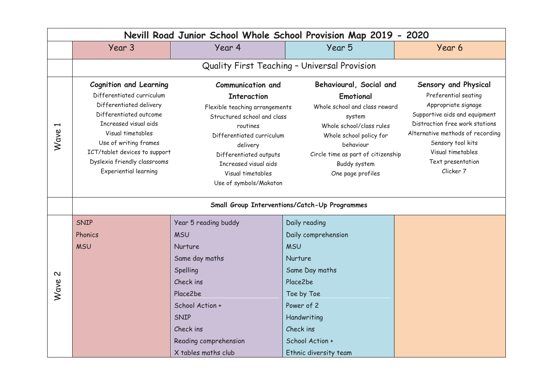| Nevill Road Junior School Whole School Provision Map 2019 - 2020 |                                                                                                                                                                                                                                                                                  |                                                                                                                                                                                                                                                                        |                                                                                                                                                                                                                                |                                                                                                                                                                                                                                                        |  |  |  |
|------------------------------------------------------------------|----------------------------------------------------------------------------------------------------------------------------------------------------------------------------------------------------------------------------------------------------------------------------------|------------------------------------------------------------------------------------------------------------------------------------------------------------------------------------------------------------------------------------------------------------------------|--------------------------------------------------------------------------------------------------------------------------------------------------------------------------------------------------------------------------------|--------------------------------------------------------------------------------------------------------------------------------------------------------------------------------------------------------------------------------------------------------|--|--|--|
|                                                                  | Year 3                                                                                                                                                                                                                                                                           | Year 4                                                                                                                                                                                                                                                                 | Year 5                                                                                                                                                                                                                         | Year 6                                                                                                                                                                                                                                                 |  |  |  |
|                                                                  | Quality First Teaching - Universal Provision                                                                                                                                                                                                                                     |                                                                                                                                                                                                                                                                        |                                                                                                                                                                                                                                |                                                                                                                                                                                                                                                        |  |  |  |
| $\blacktriangleright$<br>Wave                                    | <b>Cognition and Learning</b><br>Differentiated curriculum<br>Differentiated delivery<br>Differentiated outcome<br>Increased visual aids<br>Visual timetables<br>Use of writing frames<br>ICT/tablet devices to support<br>Dyslexia friendly classrooms<br>Experiential learning | <b>Communication and</b><br><b>Interaction</b><br>Flexible teaching arrangements<br>Structured school and class<br>routines<br>Differentiated curriculum<br>delivery<br>Differentiated outputs<br>Increased visual aids<br>Visual timetables<br>Use of symbols/Makaton | Behavioural, Social and<br>Emotional<br>Whole school and class reward<br>system<br>Whole school/class rules<br>Whole school policy for<br>behaviour<br>Circle time as part of citizenship<br>Buddy system<br>One page profiles | Sensory and Physical<br>Preferential seating<br>Appropriate signage<br>Supportive aids and equipment<br>Distraction free work stations<br>Alternative methods of recording<br>Sensory tool kits<br>Visual timetables<br>Text presentation<br>Clicker 7 |  |  |  |
|                                                                  | Small Group Interventions/Catch-Up Programmes                                                                                                                                                                                                                                    |                                                                                                                                                                                                                                                                        |                                                                                                                                                                                                                                |                                                                                                                                                                                                                                                        |  |  |  |
| $\mathbf{\Omega}$<br>Wave                                        | SNIP                                                                                                                                                                                                                                                                             | Year 5 reading buddy                                                                                                                                                                                                                                                   | Daily reading                                                                                                                                                                                                                  |                                                                                                                                                                                                                                                        |  |  |  |
|                                                                  | Phonics                                                                                                                                                                                                                                                                          | <b>MSU</b>                                                                                                                                                                                                                                                             | Daily comprehension                                                                                                                                                                                                            |                                                                                                                                                                                                                                                        |  |  |  |
|                                                                  | <b>MSU</b>                                                                                                                                                                                                                                                                       | Nurture                                                                                                                                                                                                                                                                | <b>MSU</b>                                                                                                                                                                                                                     |                                                                                                                                                                                                                                                        |  |  |  |
|                                                                  |                                                                                                                                                                                                                                                                                  | Same day maths                                                                                                                                                                                                                                                         | Nurture                                                                                                                                                                                                                        |                                                                                                                                                                                                                                                        |  |  |  |
|                                                                  |                                                                                                                                                                                                                                                                                  | Spelling                                                                                                                                                                                                                                                               | Same Day maths                                                                                                                                                                                                                 |                                                                                                                                                                                                                                                        |  |  |  |
|                                                                  |                                                                                                                                                                                                                                                                                  | Check ins                                                                                                                                                                                                                                                              | Place2be                                                                                                                                                                                                                       |                                                                                                                                                                                                                                                        |  |  |  |
|                                                                  |                                                                                                                                                                                                                                                                                  | Place2be                                                                                                                                                                                                                                                               | Toe by Toe                                                                                                                                                                                                                     |                                                                                                                                                                                                                                                        |  |  |  |
|                                                                  |                                                                                                                                                                                                                                                                                  | School Action +                                                                                                                                                                                                                                                        | Power of 2                                                                                                                                                                                                                     |                                                                                                                                                                                                                                                        |  |  |  |
|                                                                  |                                                                                                                                                                                                                                                                                  | SNIP                                                                                                                                                                                                                                                                   | Handwriting                                                                                                                                                                                                                    |                                                                                                                                                                                                                                                        |  |  |  |
|                                                                  |                                                                                                                                                                                                                                                                                  | Check ins                                                                                                                                                                                                                                                              | Check ins                                                                                                                                                                                                                      |                                                                                                                                                                                                                                                        |  |  |  |
|                                                                  |                                                                                                                                                                                                                                                                                  | Reading comprehension                                                                                                                                                                                                                                                  | School Action +                                                                                                                                                                                                                |                                                                                                                                                                                                                                                        |  |  |  |
|                                                                  |                                                                                                                                                                                                                                                                                  | X tables maths club                                                                                                                                                                                                                                                    | Ethnic diversity team                                                                                                                                                                                                          |                                                                                                                                                                                                                                                        |  |  |  |